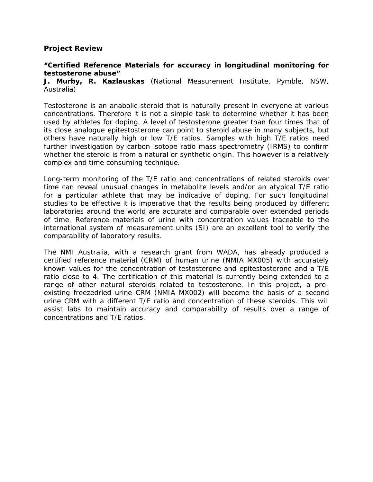## **Project Review**

## **"Certified Reference Materials for accuracy in longitudinal monitoring for testosterone abuse"**

**J. Murby, R. Kazlauskas** (National Measurement Institute, Pymble, NSW, Australia)

Testosterone is an anabolic steroid that is naturally present in everyone at various concentrations. Therefore it is not a simple task to determine whether it has been used by athletes for doping. A level of testosterone greater than four times that of its close analogue epitestosterone can point to steroid abuse in many subjects, but others have naturally high or low T/E ratios. Samples with high T/E ratios need further investigation by carbon isotope ratio mass spectrometry (IRMS) to confirm whether the steroid is from a natural or synthetic origin. This however is a relatively complex and time consuming technique.

Long-term monitoring of the T/E ratio and concentrations of related steroids over time can reveal unusual changes in metabolite levels and/or an atypical T/E ratio for a particular athlete that may be indicative of doping. For such longitudinal studies to be effective it is imperative that the results being produced by different laboratories around the world are accurate and comparable over extended periods of time. Reference materials of urine with concentration values traceable to the international system of measurement units (SI) are an excellent tool to verify the comparability of laboratory results.

The NMI Australia, with a research grant from WADA, has already produced a certified reference material (CRM) of human urine (NMIA MX005) with accurately known values for the concentration of testosterone and epitestosterone and a T/E ratio close to 4. The certification of this material is currently being extended to a range of other natural steroids related to testosterone. In this project, a preexisting freezedried urine CRM (NMIA MX002) will become the basis of a second urine CRM with a different T/E ratio and concentration of these steroids. This will assist labs to maintain accuracy and comparability of results over a range of concentrations and T/E ratios.